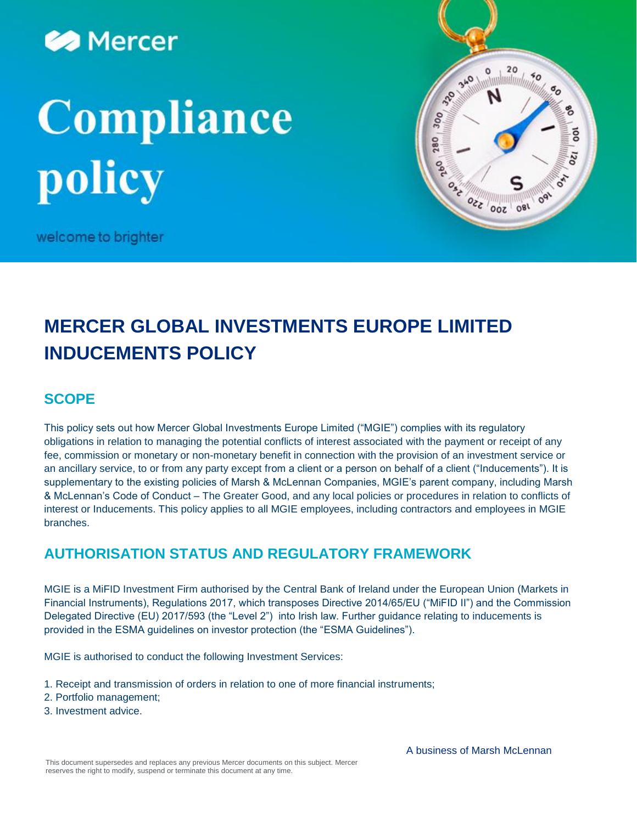

# Compliance policy



welcome to brighter

## **MERCER GLOBAL INVESTMENTS EUROPE LIMITED INDUCEMENTS POLICY**

## **SCOPE**

This policy sets out how Mercer Global Investments Europe Limited ("MGIE") complies with its regulatory obligations in relation to managing the potential conflicts of interest associated with the payment or receipt of any fee, commission or monetary or non-monetary benefit in connection with the provision of an investment service or an ancillary service, to or from any party except from a client or a person on behalf of a client ("Inducements"). It is supplementary to the existing policies of Marsh & McLennan Companies, MGIE's parent company, including Marsh & McLennan's Code of Conduct – The Greater Good, and any local policies or procedures in relation to conflicts of interest or Inducements. This policy applies to all MGIE employees, including contractors and employees in MGIE branches.

## **AUTHORISATION STATUS AND REGULATORY FRAMEWORK**

MGIE is a MiFID Investment Firm authorised by the Central Bank of Ireland under the European Union (Markets in Financial Instruments), Regulations 2017, which transposes Directive 2014/65/EU ("MiFID II") and the Commission Delegated Directive (EU) 2017/593 (the "Level 2") into Irish law. Further guidance relating to inducements is provided in the ESMA guidelines on investor protection (the "ESMA Guidelines").

MGIE is authorised to conduct the following Investment Services:

- 1. Receipt and transmission of orders in relation to one of more financial instruments;
- 2. Portfolio management;
- 3. Investment advice.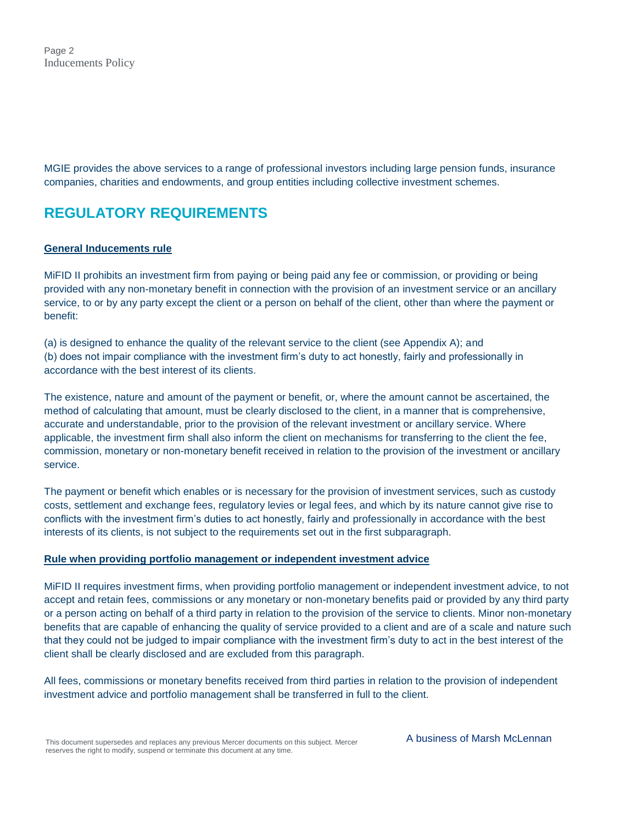Page 2 Inducements Policy

MGIE provides the above services to a range of professional investors including large pension funds, insurance companies, charities and endowments, and group entities including collective investment schemes.

## **REGULATORY REQUIREMENTS**

#### **General Inducements rule**

MiFID II prohibits an investment firm from paying or being paid any fee or commission, or providing or being provided with any non-monetary benefit in connection with the provision of an investment service or an ancillary service, to or by any party except the client or a person on behalf of the client, other than where the payment or benefit:

(a) is designed to enhance the quality of the relevant service to the client (see Appendix A); and

(b) does not impair compliance with the investment firm's duty to act honestly, fairly and professionally in accordance with the best interest of its clients.

The existence, nature and amount of the payment or benefit, or, where the amount cannot be ascertained, the method of calculating that amount, must be clearly disclosed to the client, in a manner that is comprehensive, accurate and understandable, prior to the provision of the relevant investment or ancillary service. Where applicable, the investment firm shall also inform the client on mechanisms for transferring to the client the fee, commission, monetary or non-monetary benefit received in relation to the provision of the investment or ancillary service.

The payment or benefit which enables or is necessary for the provision of investment services, such as custody costs, settlement and exchange fees, regulatory levies or legal fees, and which by its nature cannot give rise to conflicts with the investment firm's duties to act honestly, fairly and professionally in accordance with the best interests of its clients, is not subject to the requirements set out in the first subparagraph.

#### **Rule when providing portfolio management or independent investment advice**

MiFID II requires investment firms, when providing portfolio management or independent investment advice, to not accept and retain fees, commissions or any monetary or non-monetary benefits paid or provided by any third party or a person acting on behalf of a third party in relation to the provision of the service to clients. Minor non-monetary benefits that are capable of enhancing the quality of service provided to a client and are of a scale and nature such that they could not be judged to impair compliance with the investment firm's duty to act in the best interest of the client shall be clearly disclosed and are excluded from this paragraph.

All fees, commissions or monetary benefits received from third parties in relation to the provision of independent investment advice and portfolio management shall be transferred in full to the client.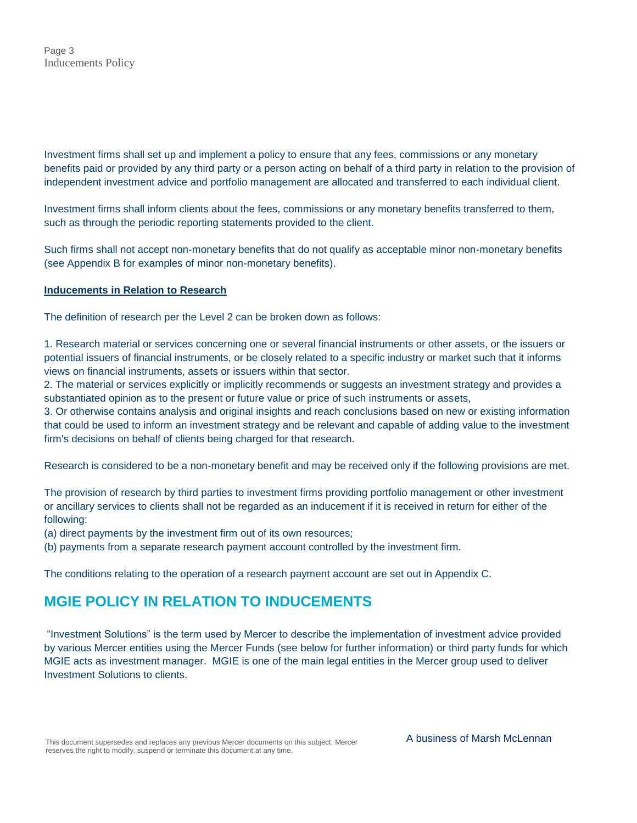Investment firms shall set up and implement a policy to ensure that any fees, commissions or any monetary benefits paid or provided by any third party or a person acting on behalf of a third party in relation to the provision of independent investment advice and portfolio management are allocated and transferred to each individual client.

Investment firms shall inform clients about the fees, commissions or any monetary benefits transferred to them, such as through the periodic reporting statements provided to the client.

Such firms shall not accept non-monetary benefits that do not qualify as acceptable minor non-monetary benefits (see Appendix B for examples of minor non-monetary benefits).

#### **Inducements in Relation to Research**

The definition of research per the Level 2 can be broken down as follows:

1. Research material or services concerning one or several financial instruments or other assets, or the issuers or potential issuers of financial instruments, or be closely related to a specific industry or market such that it informs views on financial instruments, assets or issuers within that sector.

2. The material or services explicitly or implicitly recommends or suggests an investment strategy and provides a substantiated opinion as to the present or future value or price of such instruments or assets,

3. Or otherwise contains analysis and original insights and reach conclusions based on new or existing information that could be used to inform an investment strategy and be relevant and capable of adding value to the investment firm's decisions on behalf of clients being charged for that research.

Research is considered to be a non-monetary benefit and may be received only if the following provisions are met.

The provision of research by third parties to investment firms providing portfolio management or other investment or ancillary services to clients shall not be regarded as an inducement if it is received in return for either of the following:

(a) direct payments by the investment firm out of its own resources;

(b) payments from a separate research payment account controlled by the investment firm.

The conditions relating to the operation of a research payment account are set out in Appendix C.

## **MGIE POLICY IN RELATION TO INDUCEMENTS**

"Investment Solutions" is the term used by Mercer to describe the implementation of investment advice provided by various Mercer entities using the Mercer Funds (see below for further information) or third party funds for which MGIE acts as investment manager. MGIE is one of the main legal entities in the Mercer group used to deliver Investment Solutions to clients.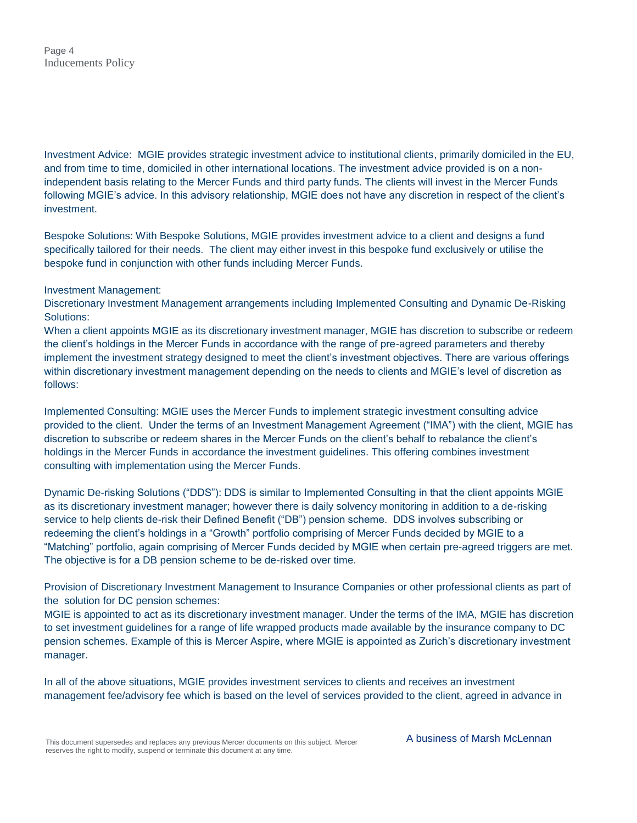Investment Advice: MGIE provides strategic investment advice to institutional clients, primarily domiciled in the EU, and from time to time, domiciled in other international locations. The investment advice provided is on a nonindependent basis relating to the Mercer Funds and third party funds. The clients will invest in the Mercer Funds following MGIE's advice. In this advisory relationship, MGIE does not have any discretion in respect of the client's investment.

Bespoke Solutions: With Bespoke Solutions, MGIE provides investment advice to a client and designs a fund specifically tailored for their needs. The client may either invest in this bespoke fund exclusively or utilise the bespoke fund in conjunction with other funds including Mercer Funds.

#### Investment Management:

Discretionary Investment Management arrangements including Implemented Consulting and Dynamic De-Risking Solutions:

When a client appoints MGIE as its discretionary investment manager, MGIE has discretion to subscribe or redeem the client's holdings in the Mercer Funds in accordance with the range of pre-agreed parameters and thereby implement the investment strategy designed to meet the client's investment objectives. There are various offerings within discretionary investment management depending on the needs to clients and MGIE's level of discretion as follows:

Implemented Consulting: MGIE uses the Mercer Funds to implement strategic investment consulting advice provided to the client. Under the terms of an Investment Management Agreement ("IMA") with the client, MGIE has discretion to subscribe or redeem shares in the Mercer Funds on the client's behalf to rebalance the client's holdings in the Mercer Funds in accordance the investment guidelines. This offering combines investment consulting with implementation using the Mercer Funds.

Dynamic De-risking Solutions ("DDS"): DDS is similar to Implemented Consulting in that the client appoints MGIE as its discretionary investment manager; however there is daily solvency monitoring in addition to a de-risking service to help clients de-risk their Defined Benefit ("DB") pension scheme. DDS involves subscribing or redeeming the client's holdings in a "Growth" portfolio comprising of Mercer Funds decided by MGIE to a "Matching" portfolio, again comprising of Mercer Funds decided by MGIE when certain pre-agreed triggers are met. The objective is for a DB pension scheme to be de-risked over time.

Provision of Discretionary Investment Management to Insurance Companies or other professional clients as part of the solution for DC pension schemes:

MGIE is appointed to act as its discretionary investment manager. Under the terms of the IMA, MGIE has discretion to set investment guidelines for a range of life wrapped products made available by the insurance company to DC pension schemes. Example of this is Mercer Aspire, where MGIE is appointed as Zurich's discretionary investment manager.

In all of the above situations, MGIE provides investment services to clients and receives an investment management fee/advisory fee which is based on the level of services provided to the client, agreed in advance in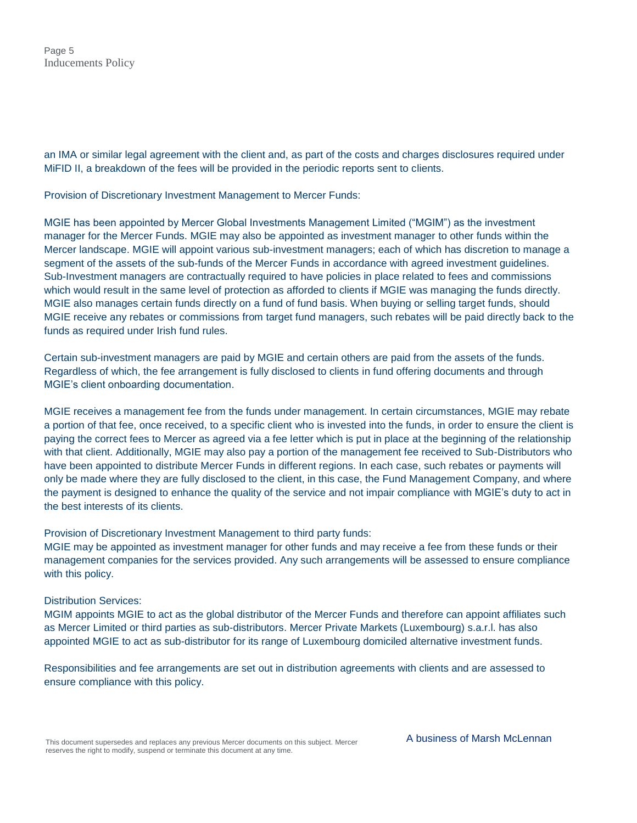an IMA or similar legal agreement with the client and, as part of the costs and charges disclosures required under MiFID II, a breakdown of the fees will be provided in the periodic reports sent to clients.

Provision of Discretionary Investment Management to Mercer Funds:

MGIE has been appointed by Mercer Global Investments Management Limited ("MGIM") as the investment manager for the Mercer Funds. MGIE may also be appointed as investment manager to other funds within the Mercer landscape. MGIE will appoint various sub-investment managers; each of which has discretion to manage a segment of the assets of the sub-funds of the Mercer Funds in accordance with agreed investment guidelines. Sub-Investment managers are contractually required to have policies in place related to fees and commissions which would result in the same level of protection as afforded to clients if MGIE was managing the funds directly. MGIE also manages certain funds directly on a fund of fund basis. When buying or selling target funds, should MGIE receive any rebates or commissions from target fund managers, such rebates will be paid directly back to the funds as required under Irish fund rules.

Certain sub-investment managers are paid by MGIE and certain others are paid from the assets of the funds. Regardless of which, the fee arrangement is fully disclosed to clients in fund offering documents and through MGIE's client onboarding documentation.

MGIE receives a management fee from the funds under management. In certain circumstances, MGIE may rebate a portion of that fee, once received, to a specific client who is invested into the funds, in order to ensure the client is paying the correct fees to Mercer as agreed via a fee letter which is put in place at the beginning of the relationship with that client. Additionally, MGIE may also pay a portion of the management fee received to Sub-Distributors who have been appointed to distribute Mercer Funds in different regions. In each case, such rebates or payments will only be made where they are fully disclosed to the client, in this case, the Fund Management Company, and where the payment is designed to enhance the quality of the service and not impair compliance with MGIE's duty to act in the best interests of its clients.

Provision of Discretionary Investment Management to third party funds:

MGIE may be appointed as investment manager for other funds and may receive a fee from these funds or their management companies for the services provided. Any such arrangements will be assessed to ensure compliance with this policy.

#### Distribution Services:

MGIM appoints MGIE to act as the global distributor of the Mercer Funds and therefore can appoint affiliates such as Mercer Limited or third parties as sub-distributors. Mercer Private Markets (Luxembourg) s.a.r.l. has also appointed MGIE to act as sub-distributor for its range of Luxembourg domiciled alternative investment funds.

Responsibilities and fee arrangements are set out in distribution agreements with clients and are assessed to ensure compliance with this policy.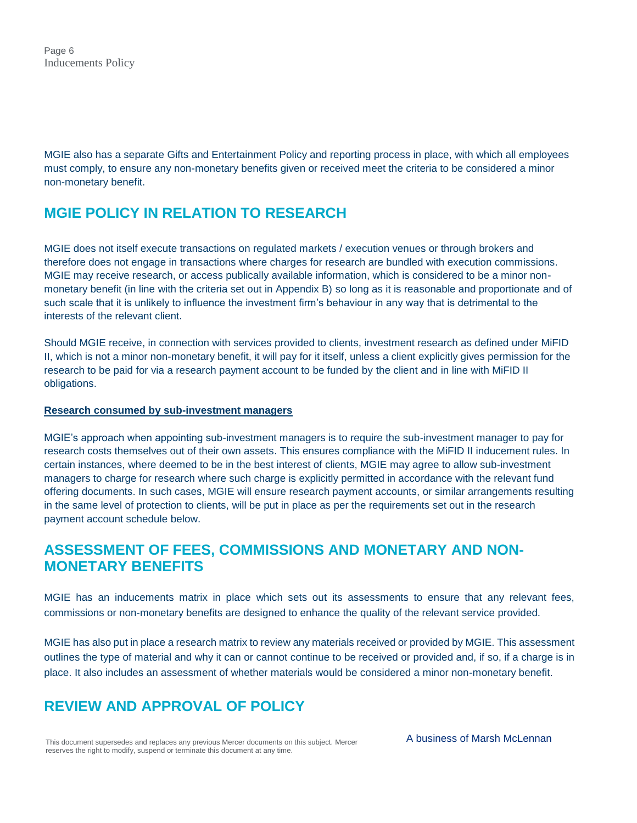MGIE also has a separate Gifts and Entertainment Policy and reporting process in place, with which all employees must comply, to ensure any non-monetary benefits given or received meet the criteria to be considered a minor non-monetary benefit.

## **MGIE POLICY IN RELATION TO RESEARCH**

MGIE does not itself execute transactions on regulated markets / execution venues or through brokers and therefore does not engage in transactions where charges for research are bundled with execution commissions. MGIE may receive research, or access publically available information, which is considered to be a minor nonmonetary benefit (in line with the criteria set out in Appendix B) so long as it is reasonable and proportionate and of such scale that it is unlikely to influence the investment firm's behaviour in any way that is detrimental to the interests of the relevant client.

Should MGIE receive, in connection with services provided to clients, investment research as defined under MiFID II, which is not a minor non-monetary benefit, it will pay for it itself, unless a client explicitly gives permission for the research to be paid for via a research payment account to be funded by the client and in line with MiFID II obligations.

#### **Research consumed by sub-investment managers**

MGIE's approach when appointing sub-investment managers is to require the sub-investment manager to pay for research costs themselves out of their own assets. This ensures compliance with the MiFID II inducement rules. In certain instances, where deemed to be in the best interest of clients, MGIE may agree to allow sub-investment managers to charge for research where such charge is explicitly permitted in accordance with the relevant fund offering documents. In such cases, MGIE will ensure research payment accounts, or similar arrangements resulting in the same level of protection to clients, will be put in place as per the requirements set out in the research payment account schedule below.

## **ASSESSMENT OF FEES, COMMISSIONS AND MONETARY AND NON-MONETARY BENEFITS**

MGIE has an inducements matrix in place which sets out its assessments to ensure that any relevant fees, commissions or non-monetary benefits are designed to enhance the quality of the relevant service provided.

MGIE has also put in place a research matrix to review any materials received or provided by MGIE. This assessment outlines the type of material and why it can or cannot continue to be received or provided and, if so, if a charge is in place. It also includes an assessment of whether materials would be considered a minor non-monetary benefit.

## **REVIEW AND APPROVAL OF POLICY**

This document supersedes and replaces any previous Mercer documents on this subject. Mercer reserves the right to modify, suspend or terminate this document at any time.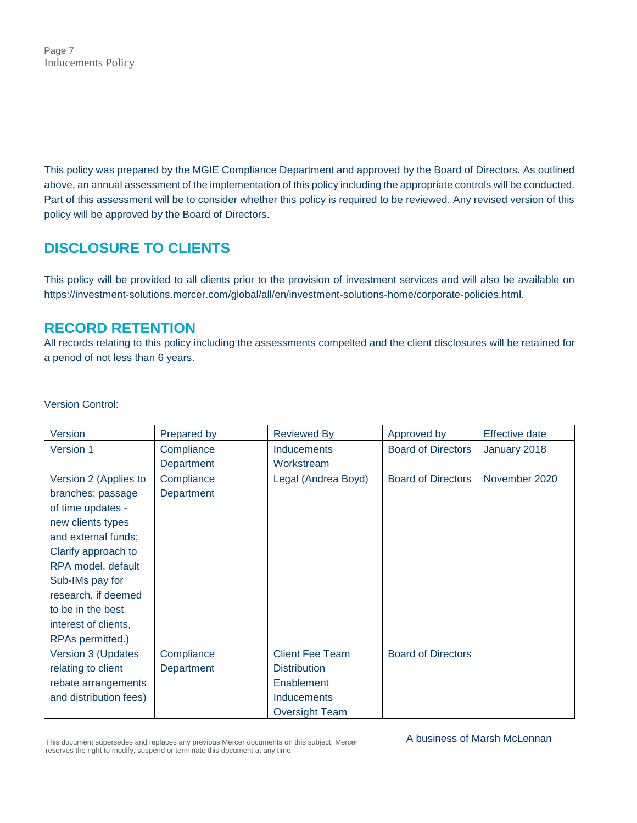Page 7 Inducements Policy

This policy was prepared by the MGIE Compliance Department and approved by the Board of Directors. As outlined above, an annual assessment of the implementation of this policy including the appropriate controls will be conducted. Part of this assessment will be to consider whether this policy is required to be reviewed. Any revised version of this policy will be approved by the Board of Directors.

## **DISCLOSURE TO CLIENTS**

This policy will be provided to all clients prior to the provision of investment services and will also be available on [https://investment-solutions.mercer.com/global/all/en/investment-solutions-home/corporate-policies.html.](https://investment-solutions.mercer.com/global/all/en/investment-solutions-home/corporate-policies.html)

### **RECORD RETENTION**

All records relating to this policy including the assessments compelted and the client disclosures will be retained for a period of not less than 6 years.

Version **Prepared by** Reviewed By Approved by Effective date Version 1 Compliance **Department Inducements Workstream** Board of Directors | January 2018 Version 2 (Applies to branches; passage of time updates new clients types and external funds; Clarify approach to RPA model, default Sub-IMs pay for research, if deemed to be in the best interest of clients, RPAs permitted.) **Compliance Department** Legal (Andrea Boyd) | Board of Directors | November 2020 Version 3 (Updates relating to client rebate arrangements and distribution fees) **Compliance Department** Client Fee Team **Distribution Enablement Inducements** Oversight Team Board of Directors

Version Control:

This document supersedes and replaces any previous Mercer documents on this subject. Mercer reserves the right to modify, suspend or terminate this document at any time.

A business of Marsh McLennan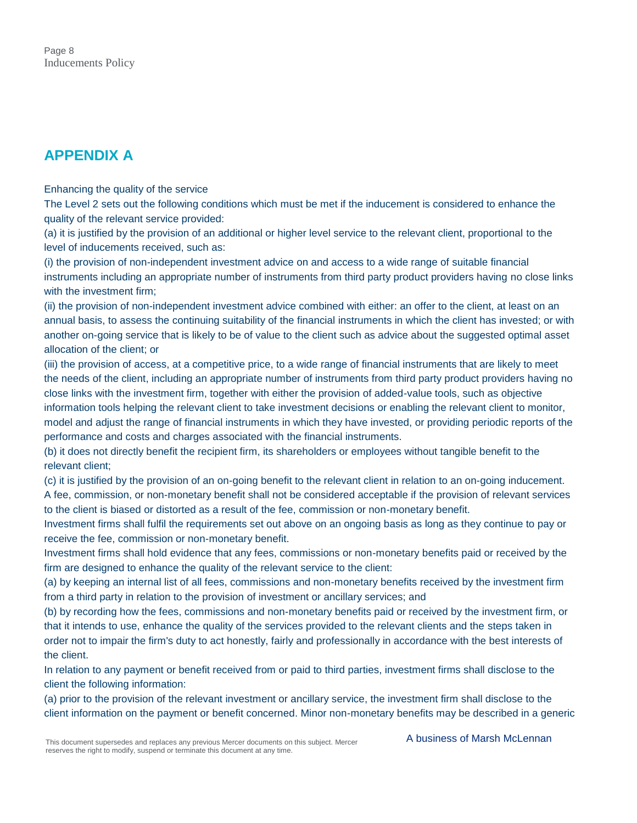## **APPENDIX A**

Enhancing the quality of the service

The Level 2 sets out the following conditions which must be met if the inducement is considered to enhance the quality of the relevant service provided:

(a) it is justified by the provision of an additional or higher level service to the relevant client, proportional to the level of inducements received, such as:

(i) the provision of non-independent investment advice on and access to a wide range of suitable financial instruments including an appropriate number of instruments from third party product providers having no close links with the investment firm;

(ii) the provision of non-independent investment advice combined with either: an offer to the client, at least on an annual basis, to assess the continuing suitability of the financial instruments in which the client has invested; or with another on-going service that is likely to be of value to the client such as advice about the suggested optimal asset allocation of the client; or

(iii) the provision of access, at a competitive price, to a wide range of financial instruments that are likely to meet the needs of the client, including an appropriate number of instruments from third party product providers having no close links with the investment firm, together with either the provision of added-value tools, such as objective information tools helping the relevant client to take investment decisions or enabling the relevant client to monitor, model and adjust the range of financial instruments in which they have invested, or providing periodic reports of the performance and costs and charges associated with the financial instruments.

(b) it does not directly benefit the recipient firm, its shareholders or employees without tangible benefit to the relevant client;

(c) it is justified by the provision of an on-going benefit to the relevant client in relation to an on-going inducement. A fee, commission, or non-monetary benefit shall not be considered acceptable if the provision of relevant services to the client is biased or distorted as a result of the fee, commission or non-monetary benefit.

Investment firms shall fulfil the requirements set out above on an ongoing basis as long as they continue to pay or receive the fee, commission or non-monetary benefit.

Investment firms shall hold evidence that any fees, commissions or non-monetary benefits paid or received by the firm are designed to enhance the quality of the relevant service to the client:

(a) by keeping an internal list of all fees, commissions and non-monetary benefits received by the investment firm from a third party in relation to the provision of investment or ancillary services; and

(b) by recording how the fees, commissions and non-monetary benefits paid or received by the investment firm, or that it intends to use, enhance the quality of the services provided to the relevant clients and the steps taken in order not to impair the firm's duty to act honestly, fairly and professionally in accordance with the best interests of the client.

In relation to any payment or benefit received from or paid to third parties, investment firms shall disclose to the client the following information:

(a) prior to the provision of the relevant investment or ancillary service, the investment firm shall disclose to the client information on the payment or benefit concerned. Minor non-monetary benefits may be described in a generic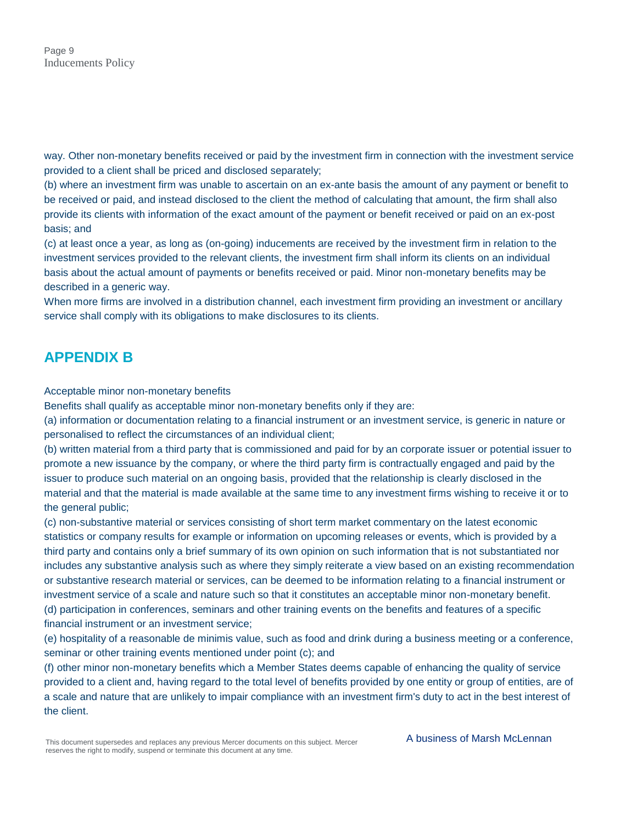way. Other non-monetary benefits received or paid by the investment firm in connection with the investment service provided to a client shall be priced and disclosed separately;

(b) where an investment firm was unable to ascertain on an ex-ante basis the amount of any payment or benefit to be received or paid, and instead disclosed to the client the method of calculating that amount, the firm shall also provide its clients with information of the exact amount of the payment or benefit received or paid on an ex-post basis; and

(c) at least once a year, as long as (on-going) inducements are received by the investment firm in relation to the investment services provided to the relevant clients, the investment firm shall inform its clients on an individual basis about the actual amount of payments or benefits received or paid. Minor non-monetary benefits may be described in a generic way.

When more firms are involved in a distribution channel, each investment firm providing an investment or ancillary service shall comply with its obligations to make disclosures to its clients.

## **APPENDIX B**

Acceptable minor non-monetary benefits

Benefits shall qualify as acceptable minor non-monetary benefits only if they are:

(a) information or documentation relating to a financial instrument or an investment service, is generic in nature or personalised to reflect the circumstances of an individual client;

(b) written material from a third party that is commissioned and paid for by an corporate issuer or potential issuer to promote a new issuance by the company, or where the third party firm is contractually engaged and paid by the issuer to produce such material on an ongoing basis, provided that the relationship is clearly disclosed in the material and that the material is made available at the same time to any investment firms wishing to receive it or to the general public;

(c) non-substantive material or services consisting of short term market commentary on the latest economic statistics or company results for example or information on upcoming releases or events, which is provided by a third party and contains only a brief summary of its own opinion on such information that is not substantiated nor includes any substantive analysis such as where they simply reiterate a view based on an existing recommendation or substantive research material or services, can be deemed to be information relating to a financial instrument or investment service of a scale and nature such so that it constitutes an acceptable minor non-monetary benefit. (d) participation in conferences, seminars and other training events on the benefits and features of a specific

financial instrument or an investment service;

(e) hospitality of a reasonable de minimis value, such as food and drink during a business meeting or a conference, seminar or other training events mentioned under point (c); and

(f) other minor non-monetary benefits which a Member States deems capable of enhancing the quality of service provided to a client and, having regard to the total level of benefits provided by one entity or group of entities, are of a scale and nature that are unlikely to impair compliance with an investment firm's duty to act in the best interest of the client.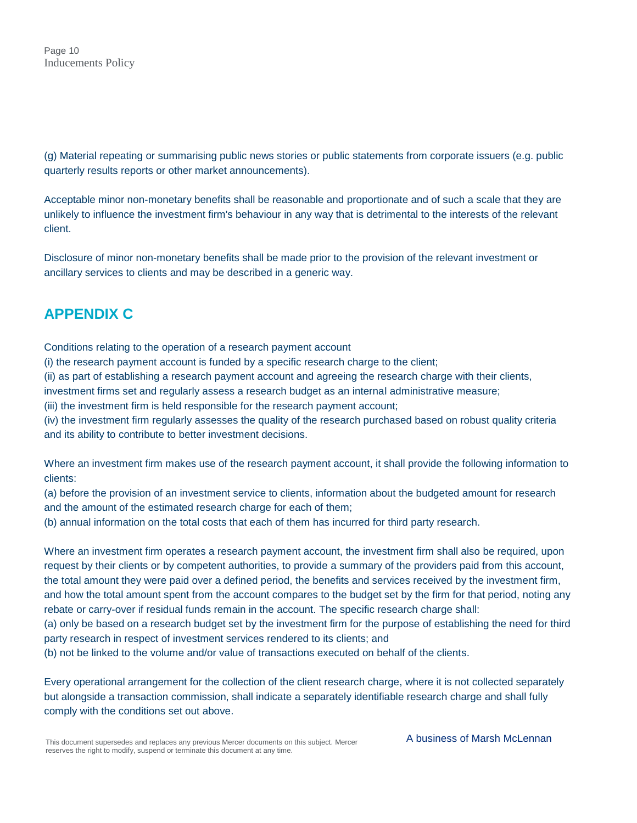(g) Material repeating or summarising public news stories or public statements from corporate issuers (e.g. public quarterly results reports or other market announcements).

Acceptable minor non-monetary benefits shall be reasonable and proportionate and of such a scale that they are unlikely to influence the investment firm's behaviour in any way that is detrimental to the interests of the relevant client.

Disclosure of minor non-monetary benefits shall be made prior to the provision of the relevant investment or ancillary services to clients and may be described in a generic way.

## **APPENDIX C**

Conditions relating to the operation of a research payment account

(i) the research payment account is funded by a specific research charge to the client;

(ii) as part of establishing a research payment account and agreeing the research charge with their clients,

investment firms set and regularly assess a research budget as an internal administrative measure;

(iii) the investment firm is held responsible for the research payment account;

(iv) the investment firm regularly assesses the quality of the research purchased based on robust quality criteria and its ability to contribute to better investment decisions.

Where an investment firm makes use of the research payment account, it shall provide the following information to clients:

(a) before the provision of an investment service to clients, information about the budgeted amount for research and the amount of the estimated research charge for each of them;

(b) annual information on the total costs that each of them has incurred for third party research.

Where an investment firm operates a research payment account, the investment firm shall also be required, upon request by their clients or by competent authorities, to provide a summary of the providers paid from this account, the total amount they were paid over a defined period, the benefits and services received by the investment firm, and how the total amount spent from the account compares to the budget set by the firm for that period, noting any rebate or carry-over if residual funds remain in the account. The specific research charge shall:

(a) only be based on a research budget set by the investment firm for the purpose of establishing the need for third party research in respect of investment services rendered to its clients; and

(b) not be linked to the volume and/or value of transactions executed on behalf of the clients.

Every operational arrangement for the collection of the client research charge, where it is not collected separately but alongside a transaction commission, shall indicate a separately identifiable research charge and shall fully comply with the conditions set out above.